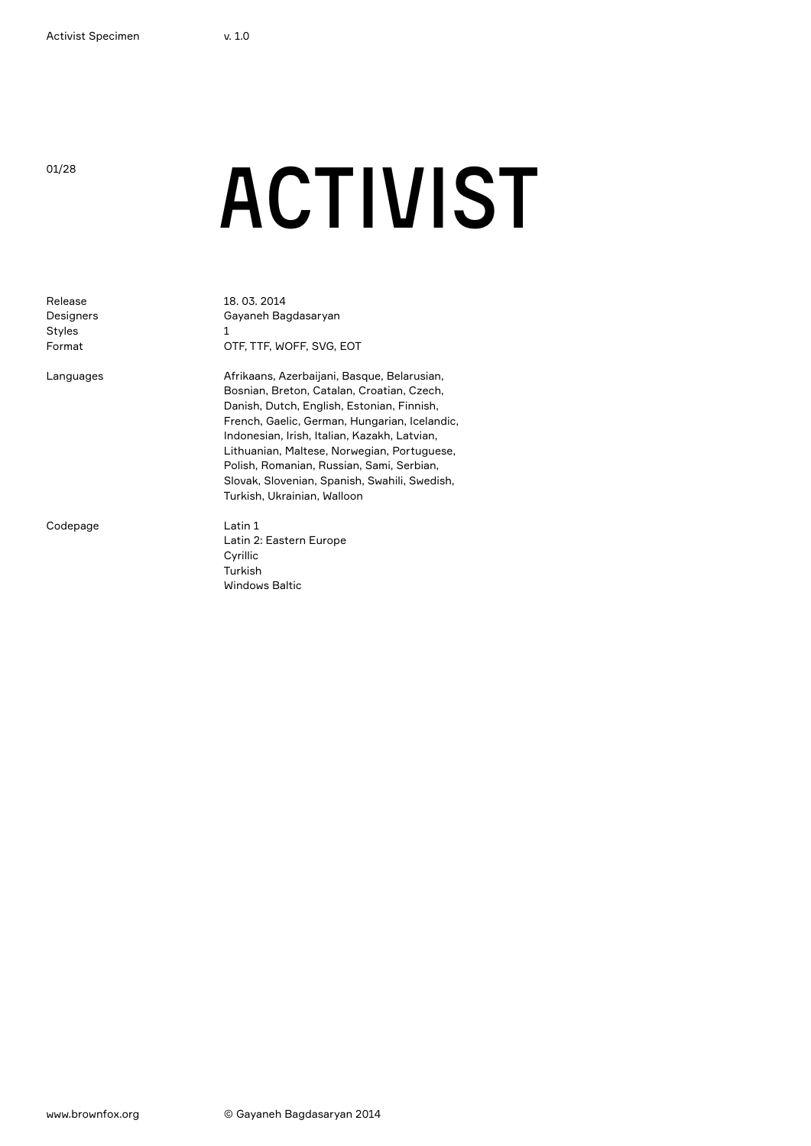## <sup>01/28</sup> ACTIVIST

| Release<br>Designers<br>Styles<br>Format | 18, 03, 2014<br>Gayaneh Bagdasaryan<br>1<br>OTF, TTF, WOFF, SVG, EOT                                                                                                                                                                                                                                                                                                                                                 |
|------------------------------------------|----------------------------------------------------------------------------------------------------------------------------------------------------------------------------------------------------------------------------------------------------------------------------------------------------------------------------------------------------------------------------------------------------------------------|
| Languages                                | Afrikaans, Azerbaijani, Basque, Belarusian,<br>Bosnian, Breton, Catalan, Croatian, Czech,<br>Danish, Dutch, English, Estonian, Finnish,<br>French, Gaelic, German, Hungarian, Icelandic,<br>Indonesian, Irish, Italian, Kazakh, Latvian,<br>Lithuanian, Maltese, Norwegian, Portuguese,<br>Polish, Romanian, Russian, Sami, Serbian,<br>Slovak, Slovenian, Spanish, Swahili, Swedish,<br>Turkish, Ukrainian, Walloon |
| Codepage                                 | Latin 1<br>Latin 2: Eastern Europe<br>Cyrillic<br>Turkish<br><b>Windows Baltic</b>                                                                                                                                                                                                                                                                                                                                   |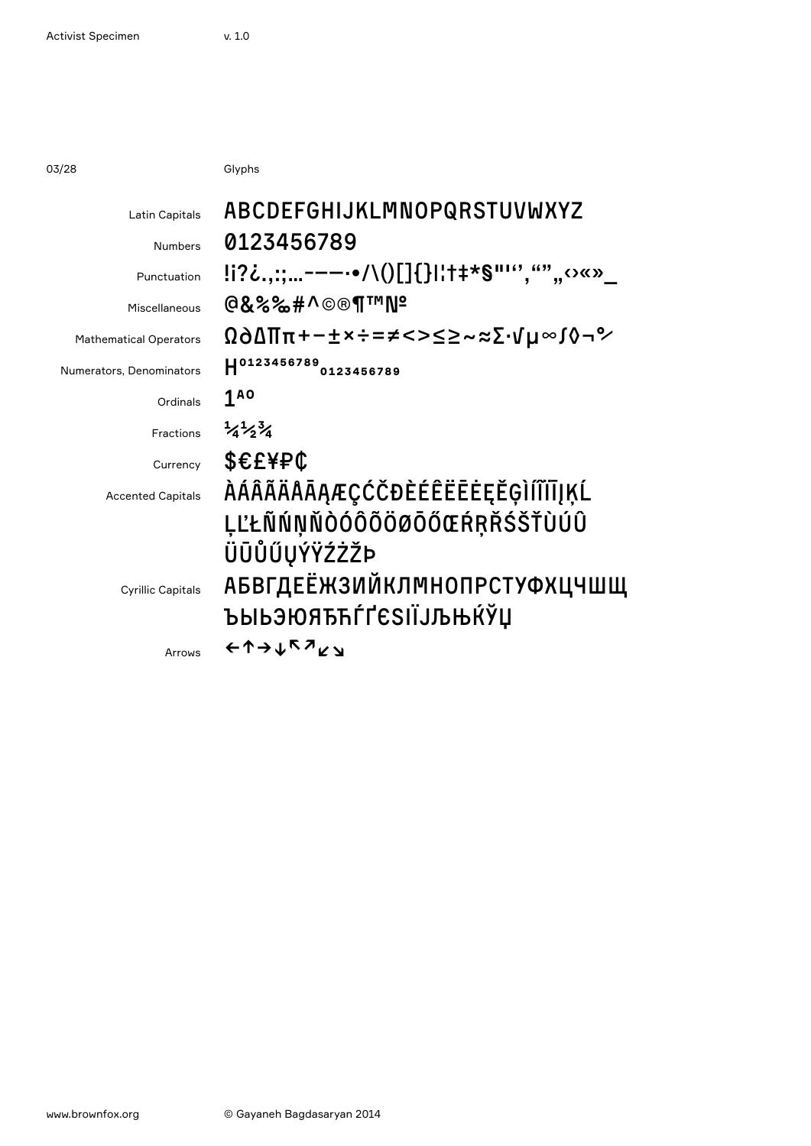03/28 Glyphs

| Latin Capitals                | ABCDEFGHIJKLMNOPQRSTUVWXYZ                   |
|-------------------------------|----------------------------------------------|
| <b>Numbers</b>                | 0123456789                                   |
| Punctuation                   | !i?¿.,:;-——•/\()[]{} ¦†‡*§"''',"",,⇔«»_      |
| Miscellaneous                 | @&%%#^©®¶™N <del>°</del>                     |
| <b>Mathematical Operators</b> | ۩∂∆∏π+−±×÷=≠<>≤≥~≈∑∙√µ∞∫◊¬°∕                 |
| Numerators, Denominators      | H0123456789<br>0123456789                    |
| Ordinals                      | <b>180</b>                                   |
| Fractions                     | $\frac{1}{4}$ $\frac{1}{2}$ $\frac{3}{4}$    |
| Currency                      | <b>\$€£¥₽¢</b>                               |
| <b>Accented Capitals</b>      | <i><b>ÀÁÂÃÄÅĀĄÆÇĆČĐÈÉÊËĒĖĘĚĢÌÍĨĪĪĮĶĹ</b></i> |
|                               | <b>ĻĽŁÑŃŅŇÒÓÔÕÖØŌŐŒŔŖŘŚŠŤÙÚÛ</b>             |
|                               | ÜŪŮŰŲÝŸŹŻŽÞ                                  |
| <b>Cyrillic Capitals</b>      | АБВГДЕЁЖЗИЙКЛМНОПРСТУФХЦЧШЩ                  |
|                               | ЪЫЬЭЮЯЂЋЃҐЄЅІЇЈЉЊЌЎЏ                         |
| Arrows                        | €↑→↓↖↗∠↘                                     |
|                               |                                              |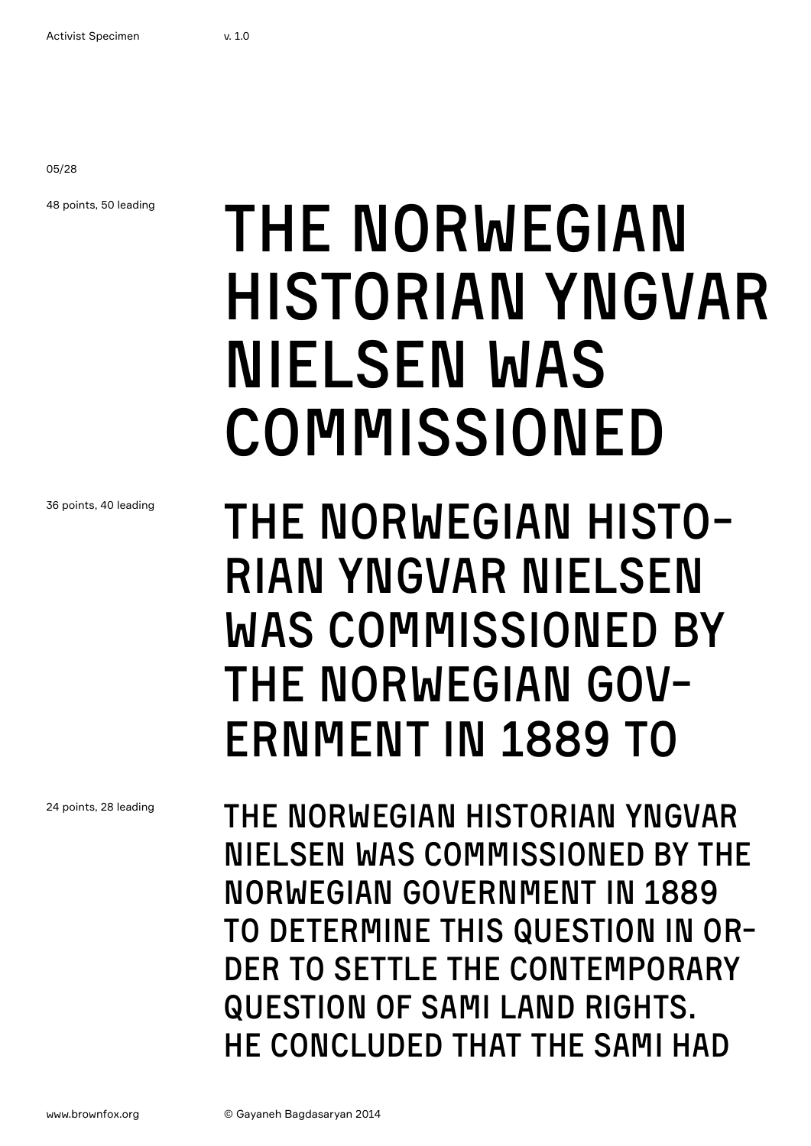05/28

48 points, 50 leading

## THE NORWEGIAN historian Yngvar Nielsen was commissioned

36 points, 40 leading

THE NORWEGIAN HISTOrian Yngvar Nielsen was commissioned by THE NORWEGIAN GOV-FRNMENT IN 1889 TO

The Norwegian historian Yngvar Nielsen was commissioned by the Norwegian government in 1889 to determine this question in order to settle the contemporary question of Sami land rights. He concluded that the Sami had

24 points, 28 leading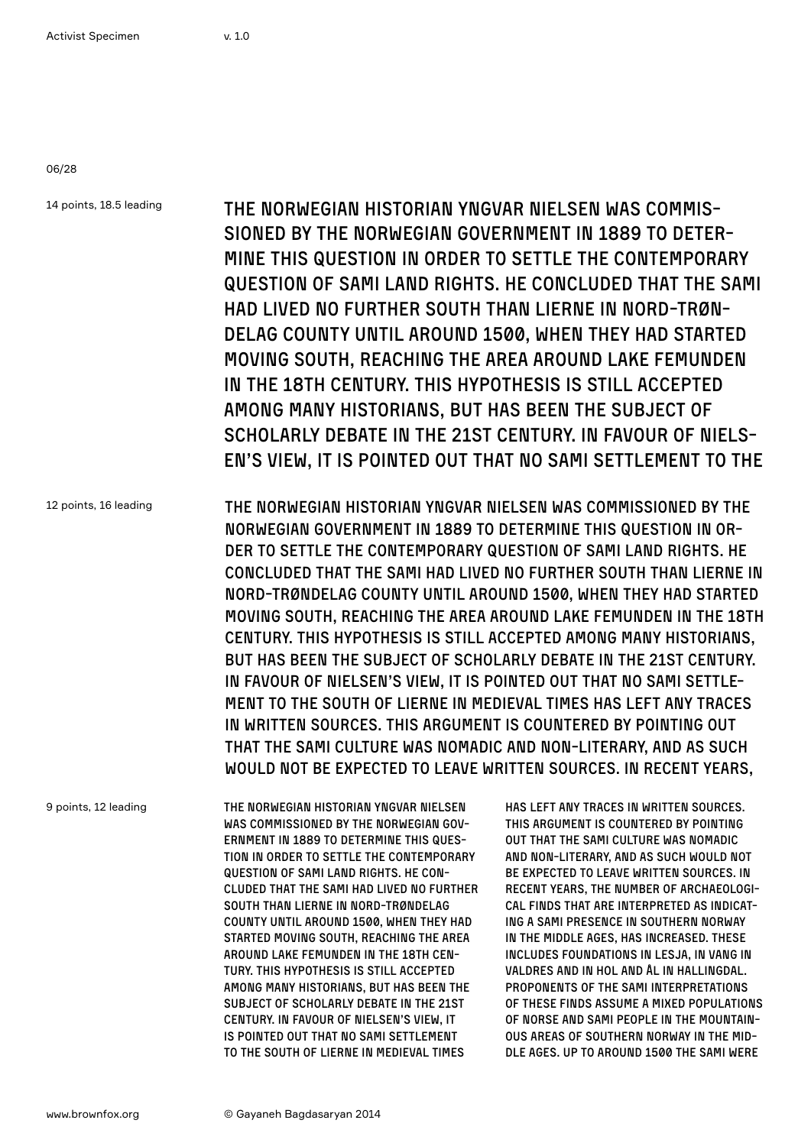06/28

14 points, 18.5 leading 12 points, 16 leading 9 points, 12 leading The Norwegian historian Yngvar Nielsen was commissioned by the Norwegian government in 1889 to determine this question in order to settle the contemporary question of Sami land rights. He concluded that the Sami had lived no further south than Lierne in Nord-Trøndelag county until around 1500, when they had started moving south, reaching the area around Lake Femunden in the 18th century. This hypothesis is still accepted among many historians, but has been the subject of scholarly debate in the 21st century. In favour of Nielsen's view, it is pointed out that no Sami settlement to the The Norwegian historian Yngvar Nielsen was commissioned by the Norwegian government in 1889 to determine this question in order to settle the contemporary question of Sami land rights. He concluded that the Sami had lived no further south than Lierne in Nord-Trøndelag county until around 1500, when they had started moving south, reaching the area around Lake Femunden in the 18th century. This hypothesis is still accepted among many historians, but has been the subject of scholarly debate in the 21st century. In favour of Nielsen's view, it is pointed out that no Sami settlement to the south of Lierne in medieval times has left any traces in written sources. This argument is countered by pointing out that the Sami culture was nomadic and non-literary, and as such would not be expected to leave written sources. In recent years, The Norwegian historian Yngvar Nielsen was commissioned by the Norwegian government in 1889 to determine this question in order to settle the contemporary question of Sami land rights. He concluded that the Sami had lived no further south than Lierne in Nord-Trøndelag county until around 1500, when they had started moving south, reaching the area around Lake Femunden in the 18th century. This hypothesis is still accepted among many historians, but has been the subject of scholarly debate in the 21st century. In favour of Nielsen's view, it has left any traces in written sources. This argument is countered by pointing out that the Sami culture was nomadic and non-literary, and as such would not be expected to leave written sources. In recent years, the number of archaeological finds that are interpreted as indicating a Sami presence in Southern Norway in the Middle Ages, has increased. These includes foundations in Lesja, in Vang in Valdres and in Hol and Ål in Hallingdal. Proponents of the Sami interpretations of these finds assume a mixed populations of Norse and Sami people in the mountain-

is pointed out that no Sami settlement to the south of Lierne in medieval times ous areas of Southern Norway in the Middle Ages. Up to around 1500 the Sami were